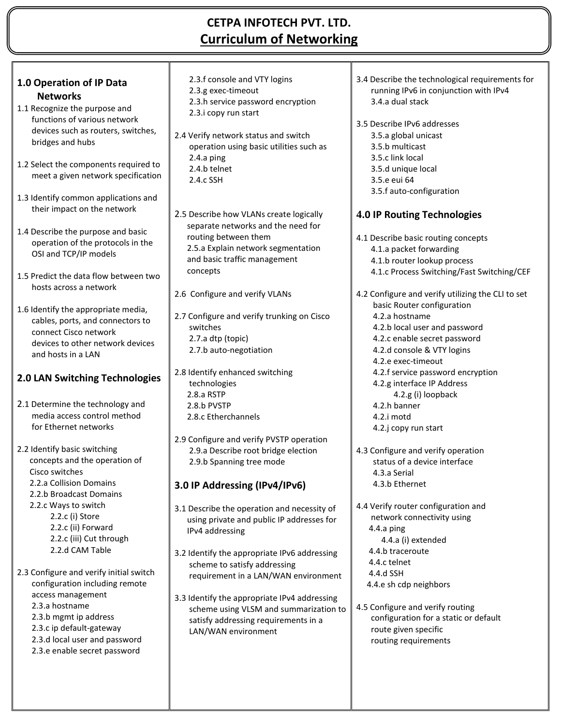## **CETPA INFOTECH PVT. LTD. Curriculum of Networking**

|                                                                             | 2.3.f console and VTY logins                           | 3.4 Describe the technological requirements for                           |
|-----------------------------------------------------------------------------|--------------------------------------------------------|---------------------------------------------------------------------------|
| 1.0 Operation of IP Data                                                    | 2.3.g exec-timeout                                     | running IPv6 in conjunction with IPv4                                     |
| <b>Networks</b>                                                             | 2.3.h service password encryption                      | 3.4.a dual stack                                                          |
| 1.1 Recognize the purpose and                                               | 2.3.i copy run start                                   |                                                                           |
| functions of various network                                                |                                                        | 3.5 Describe IPv6 addresses                                               |
| devices such as routers, switches,                                          | 2.4 Verify network status and switch                   | 3.5.a global unicast                                                      |
| bridges and hubs                                                            | operation using basic utilities such as                | 3.5.b multicast                                                           |
|                                                                             | 2.4.a ping                                             | 3.5.c link local                                                          |
| 1.2 Select the components required to<br>meet a given network specification | 2.4.b telnet                                           | 3.5.d unique local                                                        |
|                                                                             | 2.4.c SSH                                              | 3.5.e eui 64                                                              |
| 1.3 Identify common applications and                                        |                                                        | 3.5.f auto-configuration                                                  |
| their impact on the network                                                 |                                                        |                                                                           |
|                                                                             | 2.5 Describe how VLANs create logically                | <b>4.0 IP Routing Technologies</b>                                        |
| 1.4 Describe the purpose and basic                                          | separate networks and the need for                     |                                                                           |
| operation of the protocols in the                                           | routing between them                                   | 4.1 Describe basic routing concepts                                       |
| OSI and TCP/IP models                                                       | 2.5.a Explain network segmentation                     | 4.1.a packet forwarding                                                   |
|                                                                             | and basic traffic management                           | 4.1.b router lookup process                                               |
| 1.5 Predict the data flow between two                                       | concepts                                               | 4.1.c Process Switching/Fast Switching/CEF                                |
| hosts across a network                                                      |                                                        |                                                                           |
|                                                                             | 2.6 Configure and verify VLANs                         | 4.2 Configure and verify utilizing the CLI to set                         |
| 1.6 Identify the appropriate media,                                         |                                                        | basic Router configuration<br>4.2.a hostname                              |
| cables, ports, and connectors to                                            | 2.7 Configure and verify trunking on Cisco<br>switches |                                                                           |
| connect Cisco network                                                       | 2.7.a dtp (topic)                                      | 4.2.b local user and password<br>4.2.c enable secret password             |
| devices to other network devices                                            | 2.7.b auto-negotiation                                 | 4.2.d console & VTY logins                                                |
| and hosts in a LAN                                                          |                                                        | 4.2.e exec-timeout                                                        |
|                                                                             | 2.8 Identify enhanced switching                        | 4.2.f service password encryption                                         |
| 2.0 LAN Switching Technologies                                              | technologies                                           | 4.2.g interface IP Address                                                |
|                                                                             | 2.8.a RSTP                                             | 4.2.g (i) loopback                                                        |
| 2.1 Determine the technology and                                            | 2.8.b PVSTP                                            | 4.2.h banner                                                              |
| media access control method                                                 | 2.8.c Etherchannels                                    | 4.2.i motd                                                                |
| for Ethernet networks                                                       |                                                        | 4.2.j copy run start                                                      |
|                                                                             | 2.9 Configure and verify PVSTP operation               |                                                                           |
| 2.2 Identify basic switching                                                | 2.9.a Describe root bridge election                    | 4.3 Configure and verify operation                                        |
| concepts and the operation of                                               | 2.9.b Spanning tree mode                               | status of a device interface                                              |
| Cisco switches                                                              |                                                        | 4.3.a Serial                                                              |
| 2.2.a Collision Domains                                                     | 3.0 IP Addressing (IPv4/IPv6)                          | 4.3.b Ethernet                                                            |
| 2.2.b Broadcast Domains                                                     |                                                        |                                                                           |
| 2.2.c Ways to switch                                                        | 3.1 Describe the operation and necessity of            | 4.4 Verify router configuration and                                       |
| 2.2.c (i) Store                                                             | using private and public IP addresses for              | network connectivity using                                                |
| 2.2.c (ii) Forward                                                          | IPv4 addressing                                        | 4.4.a ping                                                                |
| 2.2.c (iii) Cut through                                                     |                                                        | 4.4.a (i) extended                                                        |
| 2.2.d CAM Table                                                             | 3.2 Identify the appropriate IPv6 addressing           | 4.4.b traceroute                                                          |
| 2.3 Configure and verify initial switch                                     | scheme to satisfy addressing                           | 4.4.c telnet                                                              |
| configuration including remote                                              | requirement in a LAN/WAN environment                   | 4.4.d SSH                                                                 |
| access management                                                           |                                                        | 4.4.e sh cdp neighbors                                                    |
| 2.3.a hostname                                                              | 3.3 Identify the appropriate IPv4 addressing           |                                                                           |
| 2.3.b mgmt ip address                                                       | scheme using VLSM and summarization to                 | 4.5 Configure and verify routing<br>configuration for a static or default |
| 2.3.c ip default-gateway                                                    | satisfy addressing requirements in a                   | route given specific                                                      |
| 2.3.d local user and password                                               | LAN/WAN environment                                    | routing requirements                                                      |
| 2.3.e enable secret password                                                |                                                        |                                                                           |
|                                                                             |                                                        |                                                                           |
|                                                                             |                                                        |                                                                           |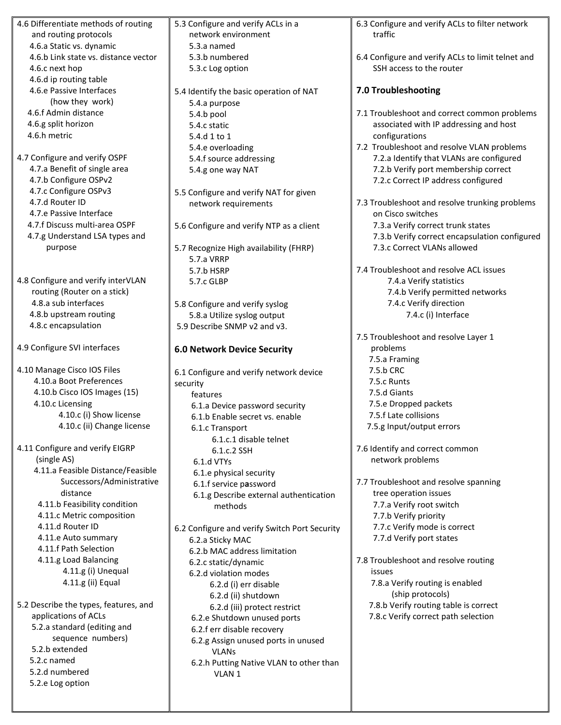| 4.6 Differentiate methods of routing  | 5.3 Configure and verify ACLs in a            | 6.3 Configure and verify ACLs to filter network   |
|---------------------------------------|-----------------------------------------------|---------------------------------------------------|
| and routing protocols                 | network environment                           | traffic                                           |
| 4.6.a Static vs. dynamic              | 5.3.a named                                   |                                                   |
| 4.6.b Link state vs. distance vector  | 5.3.b numbered                                | 6.4 Configure and verify ACLs to limit telnet and |
| 4.6.c next hop                        | 5.3.c Log option                              | SSH access to the router                          |
| 4.6.d ip routing table                |                                               |                                                   |
| 4.6.e Passive Interfaces              | 5.4 Identify the basic operation of NAT       | 7.0 Troubleshooting                               |
| (how they work)                       | 5.4.a purpose                                 |                                                   |
| 4.6.f Admin distance                  | 5.4.b pool                                    | 7.1 Troubleshoot and correct common problems      |
| 4.6.g split horizon                   |                                               | associated with IP addressing and host            |
| 4.6.h metric                          | 5.4.c static                                  |                                                   |
|                                       | 5.4.d 1 to 1                                  | configurations                                    |
|                                       | 5.4.e overloading                             | 7.2 Troubleshoot and resolve VLAN problems        |
| 4.7 Configure and verify OSPF         | 5.4.f source addressing                       | 7.2.a Identify that VLANs are configured          |
| 4.7.a Benefit of single area          | 5.4.g one way NAT                             | 7.2.b Verify port membership correct              |
| 4.7.b Configure OSPv2                 |                                               | 7.2.c Correct IP address configured               |
| 4.7.c Configure OSPv3                 | 5.5 Configure and verify NAT for given        |                                                   |
| 4.7.d Router ID                       | network requirements                          | 7.3 Troubleshoot and resolve trunking problems    |
| 4.7.e Passive Interface               |                                               | on Cisco switches                                 |
| 4.7.f Discuss multi-area OSPF         | 5.6 Configure and verify NTP as a client      | 7.3.a Verify correct trunk states                 |
| 4.7.g Understand LSA types and        |                                               | 7.3.b Verify correct encapsulation configured     |
| purpose                               | 5.7 Recognize High availability (FHRP)        | 7.3.c Correct VLANs allowed                       |
|                                       | 5.7.a VRRP                                    |                                                   |
|                                       | 5.7.b HSRP                                    | 7.4 Troubleshoot and resolve ACL issues           |
| 4.8 Configure and verify interVLAN    | 5.7.c GLBP                                    | 7.4.a Verify statistics                           |
| routing (Router on a stick)           |                                               | 7.4.b Verify permitted networks                   |
| 4.8.a sub interfaces                  | 5.8 Configure and verify syslog               | 7.4.c Verify direction                            |
| 4.8.b upstream routing                |                                               | 7.4.c (i) Interface                               |
| 4.8.c encapsulation                   | 5.8.a Utilize syslog output                   |                                                   |
|                                       | 5.9 Describe SNMP v2 and v3.                  |                                                   |
|                                       |                                               | 7.5 Troubleshoot and resolve Layer 1              |
| 4.9 Configure SVI interfaces          | <b>6.0 Network Device Security</b>            | problems                                          |
|                                       |                                               | 7.5.a Framing                                     |
| 4.10 Manage Cisco IOS Files           | 6.1 Configure and verify network device       | 7.5.b CRC                                         |
| 4.10.a Boot Preferences               | security                                      | 7.5.c Runts                                       |
| 4.10.b Cisco IOS Images (15)          | features                                      | 7.5.d Giants                                      |
| 4.10.c Licensing                      | 6.1.a Device password security                | 7.5.e Dropped packets                             |
| 4.10.c (i) Show license               | 6.1.b Enable secret vs. enable                | 7.5.f Late collisions                             |
| 4.10.c (ii) Change license            | 6.1.c Transport                               | 7.5.g Input/output errors                         |
|                                       | 6.1.c.1 disable telnet                        |                                                   |
| 4.11 Configure and verify EIGRP       | 6.1.c.2 SSH                                   | 7.6 Identify and correct common                   |
| (single AS)                           | 6.1.d VTYs                                    | network problems                                  |
| 4.11.a Feasible Distance/Feasible     | 6.1.e physical security                       |                                                   |
| Successors/Administrative             |                                               | 7.7 Troubleshoot and resolve spanning             |
| distance                              | 6.1.f service password                        | tree operation issues                             |
| 4.11.b Feasibility condition          | 6.1.g Describe external authentication        | 7.7.a Verify root switch                          |
|                                       | methods                                       |                                                   |
| 4.11.c Metric composition             |                                               | 7.7.b Verify priority                             |
| 4.11.d Router ID                      | 6.2 Configure and verify Switch Port Security | 7.7.c Verify mode is correct                      |
| 4.11.e Auto summary                   | 6.2.a Sticky MAC                              | 7.7.d Verify port states                          |
| 4.11.f Path Selection                 | 6.2.b MAC address limitation                  |                                                   |
| 4.11.g Load Balancing                 | 6.2.c static/dynamic                          | 7.8 Troubleshoot and resolve routing              |
| 4.11.g (i) Unequal                    | 6.2.d violation modes                         | issues                                            |
| 4.11.g (ii) Equal                     | 6.2.d (i) err disable                         | 7.8.a Verify routing is enabled                   |
|                                       | 6.2.d (ii) shutdown                           | (ship protocols)                                  |
| 5.2 Describe the types, features, and | 6.2.d (iii) protect restrict                  | 7.8.b Verify routing table is correct             |
| applications of ACLs                  | 6.2.e Shutdown unused ports                   | 7.8.c Verify correct path selection               |
| 5.2.a standard (editing and           | 6.2.f err disable recovery                    |                                                   |
| sequence numbers)                     | 6.2.g Assign unused ports in unused           |                                                   |
| 5.2.b extended                        | <b>VLANs</b>                                  |                                                   |
| 5.2.c named                           |                                               |                                                   |
| 5.2.d numbered                        | 6.2.h Putting Native VLAN to other than       |                                                   |
| 5.2.e Log option                      | VLAN 1                                        |                                                   |
|                                       |                                               |                                                   |